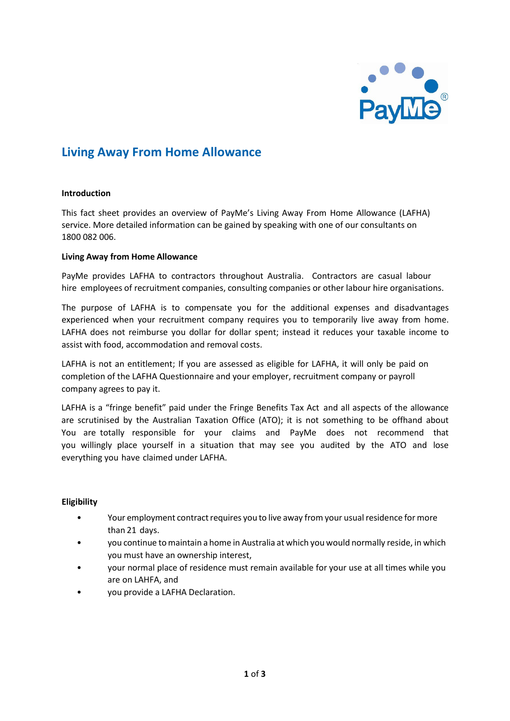

# **Living Away From Home Allowance**

#### **Introduction**

This fact sheet provides an overview of PayMe's Living Away From Home Allowance (LAFHA) service. More detailed information can be gained by speaking with one of our consultants on 1800 082 006.

## **Living Away from Home Allowance**

PayMe provides LAFHA to contractors throughout Australia. Contractors are casual labour hire employees of recruitment companies, consulting companies or other labour hire organisations.

The purpose of LAFHA is to compensate you for the additional expenses and disadvantages experienced when your recruitment company requires you to temporarily live away from home. LAFHA does not reimburse you dollar for dollar spent; instead it reduces your taxable income to assist with food, accommodation and removal costs.

LAFHA is not an entitlement; If you are assessed as eligible for LAFHA, it will only be paid on completion of the LAFHA Questionnaire and your employer, recruitment company or payroll company agrees to pay it.

LAFHA is a "fringe benefit" paid under the Fringe Benefits Tax Act and all aspects of the allowance are scrutinised by the Australian Taxation Office (ATO); it is not something to be offhand about You are totally responsible for your claims and PayMe does not recommend that you willingly place yourself in a situation that may see you audited by the ATO and lose everything you have claimed under LAFHA.

# **Eligibility**

- Your employment contract requires you to live away from your usual residence for more than 21 days.
- you continue tomaintain a home in Australia at which you would normally reside, in which you must have an ownership interest,
- your normal place of residence must remain available for your use at all times while you are on LAHFA, and
- you provide a LAFHA Declaration.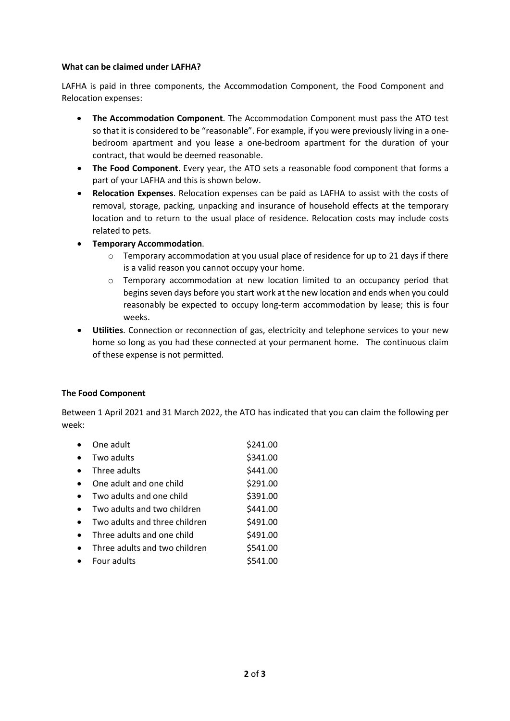## **What can be claimed under LAFHA?**

LAFHA is paid in three components, the Accommodation Component, the Food Component and Relocation expenses:

- **The Accommodation Component**. The Accommodation Component must pass the ATO test so that it is considered to be "reasonable". For example, if you were previously living in a onebedroom apartment and you lease a one-bedroom apartment for the duration of your contract, that would be deemed reasonable.
- **The Food Component**. Every year, the ATO sets a reasonable food component that forms a part of your LAFHA and this is shown below.
- **Relocation Expenses**. Relocation expenses can be paid as LAFHA to assist with the costs of removal, storage, packing, unpacking and insurance of household effects at the temporary location and to return to the usual place of residence. Relocation costs may include costs related to pets.
- **Temporary Accommodation**.
	- $\circ$  Temporary accommodation at you usual place of residence for up to 21 days if there is a valid reason you cannot occupy your home.
	- o Temporary accommodation at new location limited to an occupancy period that begins seven days before you start work at the new location and ends when you could reasonably be expected to occupy long-term accommodation by lease; this is four weeks.
- **Utilities**. Connection or reconnection of gas, electricity and telephone services to your new home so long as you had these connected at your permanent home. The continuous claim of these expense is not permitted.

# **The Food Component**

Between 1 April 2021 and 31 March 2022, the ATO has indicated that you can claim the following per week:

|           | One adult                     | \$241.00 |
|-----------|-------------------------------|----------|
| $\bullet$ | Two adults                    | \$341.00 |
|           | Three adults                  | \$441.00 |
|           | One adult and one child       | \$291.00 |
|           | Two adults and one child      | \$391.00 |
| $\bullet$ | Two adults and two children   | \$441.00 |
|           | Two adults and three children | \$491.00 |
|           | Three adults and one child    | \$491.00 |
|           | Three adults and two children | \$541.00 |
|           | Four adults                   | \$541.00 |